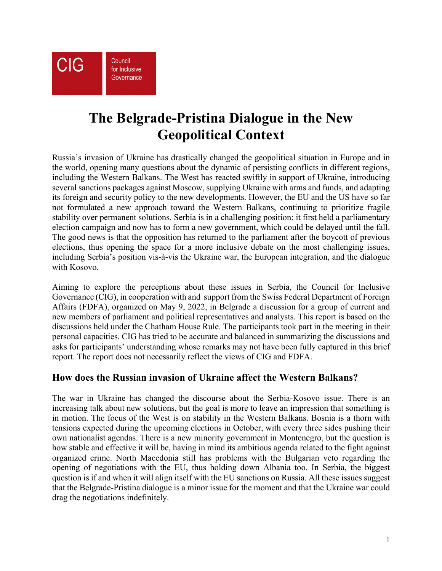**CIG** 

Council for Inclusive Governance

# **The Belgrade-Pristina Dialogue in the New Geopolitical Context**

Russia's invasion of Ukraine has drastically changed the geopolitical situation in Europe and in the world, opening many questions about the dynamic of persisting conflicts in different regions, including the Western Balkans. The West has reacted swiftly in support of Ukraine, introducing several sanctions packages against Moscow, supplying Ukraine with arms and funds, and adapting its foreign and security policy to the new developments. However, the EU and the US have so far not formulated a new approach toward the Western Balkans, continuing to prioritize fragile stability over permanent solutions. Serbia is in a challenging position: it first held a parliamentary election campaign and now has to form a new government, which could be delayed until the fall. The good news is that the opposition has returned to the parliament after the boycott of previous elections, thus opening the space for a more inclusive debate on the most challenging issues, including Serbia's position vis-à-vis the Ukraine war, the European integration, and the dialogue with Kosovo.

Aiming to explore the perceptions about these issues in Serbia, the Council for Inclusive Governance (CIG), in cooperation with and support from the Swiss Federal Department of Foreign Affairs (FDFA), organized on May 9, 2022, in Belgrade a discussion for a group of current and new members of parliament and political representatives and analysts. This report is based on the discussions held under the Chatham House Rule. The participants took part in the meeting in their personal capacities. CIG has tried to be accurate and balanced in summarizing the discussions and asks for participants' understanding whose remarks may not have been fully captured in this brief report. The report does not necessarily reflect the views of CIG and FDFA.

## **How does the Russian invasion of Ukraine affect the Western Balkans?**

The war in Ukraine has changed the discourse about the Serbia-Kosovo issue. There is an increasing talk about new solutions, but the goal is more to leave an impression that something is in motion. The focus of the West is on stability in the Western Balkans. Bosnia is a thorn with tensions expected during the upcoming elections in October, with every three sides pushing their own nationalist agendas. There is a new minority government in Montenegro, but the question is how stable and effective it will be, having in mind its ambitious agenda related to the fight against organized crime. North Macedonia still has problems with the Bulgarian veto regarding the opening of negotiations with the EU, thus holding down Albania too. In Serbia, the biggest question is if and when it will align itself with the EU sanctions on Russia. All these issues suggest that the Belgrade-Pristina dialogue is a minor issue for the moment and that the Ukraine war could drag the negotiations indefinitely.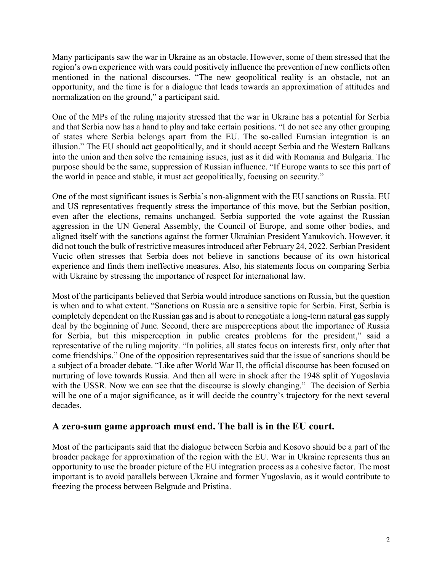Many participants saw the war in Ukraine as an obstacle. However, some of them stressed that the region's own experience with wars could positively influence the prevention of new conflicts often mentioned in the national discourses. "The new geopolitical reality is an obstacle, not an opportunity, and the time is for a dialogue that leads towards an approximation of attitudes and normalization on the ground," a participant said.

One of the MPs of the ruling majority stressed that the war in Ukraine has a potential for Serbia and that Serbia now has a hand to play and take certain positions. "I do not see any other grouping of states where Serbia belongs apart from the EU. The so-called Eurasian integration is an illusion." The EU should act geopolitically, and it should accept Serbia and the Western Balkans into the union and then solve the remaining issues, just as it did with Romania and Bulgaria. The purpose should be the same, suppression of Russian influence. "If Europe wants to see this part of the world in peace and stable, it must act geopolitically, focusing on security."

One of the most significant issues is Serbia's non-alignment with the EU sanctions on Russia. EU and US representatives frequently stress the importance of this move, but the Serbian position, even after the elections, remains unchanged. Serbia supported the vote against the Russian aggression in the UN General Assembly, the Council of Europe, and some other bodies, and aligned itself with the sanctions against the former Ukrainian President Yanukovich. However, it did not touch the bulk of restrictive measures introduced after February 24, 2022. Serbian President Vucic often stresses that Serbia does not believe in sanctions because of its own historical experience and finds them ineffective measures. Also, his statements focus on comparing Serbia with Ukraine by stressing the importance of respect for international law.

Most of the participants believed that Serbia would introduce sanctions on Russia, but the question is when and to what extent. "Sanctions on Russia are a sensitive topic for Serbia. First, Serbia is completely dependent on the Russian gas and is about to renegotiate a long-term natural gas supply deal by the beginning of June. Second, there are misperceptions about the importance of Russia for Serbia, but this misperception in public creates problems for the president," said a representative of the ruling majority. "In politics, all states focus on interests first, only after that come friendships." One of the opposition representatives said that the issue of sanctions should be a subject of a broader debate. "Like after World War II, the official discourse has been focused on nurturing of love towards Russia. And then all were in shock after the 1948 split of Yugoslavia with the USSR. Now we can see that the discourse is slowly changing." The decision of Serbia will be one of a major significance, as it will decide the country's trajectory for the next several decades.

#### **A zero-sum game approach must end. The ball is in the EU court.**

Most of the participants said that the dialogue between Serbia and Kosovo should be a part of the broader package for approximation of the region with the EU. War in Ukraine represents thus an opportunity to use the broader picture of the EU integration process as a cohesive factor. The most important is to avoid parallels between Ukraine and former Yugoslavia, as it would contribute to freezing the process between Belgrade and Pristina.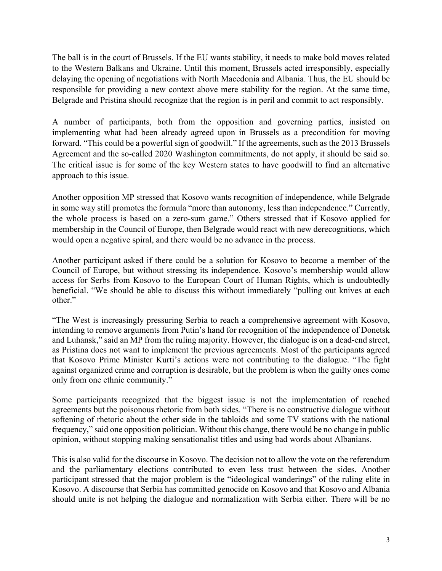The ball is in the court of Brussels. If the EU wants stability, it needs to make bold moves related to the Western Balkans and Ukraine. Until this moment, Brussels acted irresponsibly, especially delaying the opening of negotiations with North Macedonia and Albania. Thus, the EU should be responsible for providing a new context above mere stability for the region. At the same time, Belgrade and Pristina should recognize that the region is in peril and commit to act responsibly.

A number of participants, both from the opposition and governing parties, insisted on implementing what had been already agreed upon in Brussels as a precondition for moving forward. "This could be a powerful sign of goodwill." If the agreements, such as the 2013 Brussels Agreement and the so-called 2020 Washington commitments, do not apply, it should be said so. The critical issue is for some of the key Western states to have goodwill to find an alternative approach to this issue.

Another opposition MP stressed that Kosovo wants recognition of independence, while Belgrade in some way still promotes the formula "more than autonomy, less than independence." Currently, the whole process is based on a zero-sum game." Others stressed that if Kosovo applied for membership in the Council of Europe, then Belgrade would react with new derecognitions, which would open a negative spiral, and there would be no advance in the process.

Another participant asked if there could be a solution for Kosovo to become a member of the Council of Europe, but without stressing its independence. Kosovo's membership would allow access for Serbs from Kosovo to the European Court of Human Rights, which is undoubtedly beneficial. "We should be able to discuss this without immediately "pulling out knives at each other."

"The West is increasingly pressuring Serbia to reach a comprehensive agreement with Kosovo, intending to remove arguments from Putin's hand for recognition of the independence of Donetsk and Luhansk," said an MP from the ruling majority. However, the dialogue is on a dead-end street, as Pristina does not want to implement the previous agreements. Most of the participants agreed that Kosovo Prime Minister Kurti's actions were not contributing to the dialogue. "The fight against organized crime and corruption is desirable, but the problem is when the guilty ones come only from one ethnic community."

Some participants recognized that the biggest issue is not the implementation of reached agreements but the poisonous rhetoric from both sides. "There is no constructive dialogue without softening of rhetoric about the other side in the tabloids and some TV stations with the national frequency," said one opposition politician. Without this change, there would be no change in public opinion, without stopping making sensationalist titles and using bad words about Albanians.

This is also valid for the discourse in Kosovo. The decision not to allow the vote on the referendum and the parliamentary elections contributed to even less trust between the sides. Another participant stressed that the major problem is the "ideological wanderings" of the ruling elite in Kosovo. A discourse that Serbia has committed genocide on Kosovo and that Kosovo and Albania should unite is not helping the dialogue and normalization with Serbia either. There will be no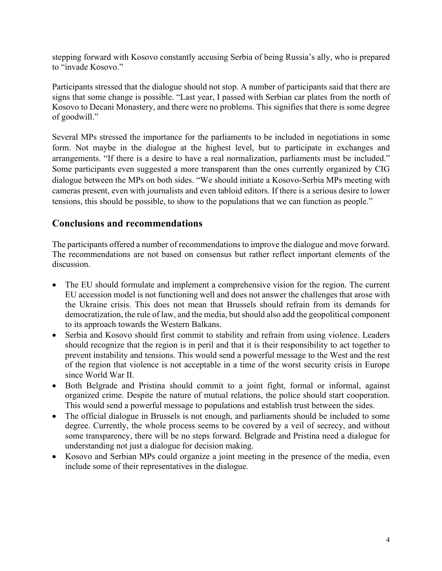stepping forward with Kosovo constantly accusing Serbia of being Russia's ally, who is prepared to "invade Kosovo."

Participants stressed that the dialogue should not stop. A number of participants said that there are signs that some change is possible. "Last year, I passed with Serbian car plates from the north of Kosovo to Decani Monastery, and there were no problems. This signifies that there is some degree of goodwill."

Several MPs stressed the importance for the parliaments to be included in negotiations in some form. Not maybe in the dialogue at the highest level, but to participate in exchanges and arrangements. "If there is a desire to have a real normalization, parliaments must be included." Some participants even suggested a more transparent than the ones currently organized by CIG dialogue between the MPs on both sides. "We should initiate a Kosovo-Serbia MPs meeting with cameras present, even with journalists and even tabloid editors. If there is a serious desire to lower tensions, this should be possible, to show to the populations that we can function as people."

### **Conclusions and recommendations**

The participants offered a number of recommendations to improve the dialogue and move forward. The recommendations are not based on consensus but rather reflect important elements of the discussion.

- The EU should formulate and implement a comprehensive vision for the region. The current EU accession model is not functioning well and does not answer the challenges that arose with the Ukraine crisis. This does not mean that Brussels should refrain from its demands for democratization, the rule of law, and the media, but should also add the geopolitical component to its approach towards the Western Balkans.
- Serbia and Kosovo should first commit to stability and refrain from using violence. Leaders should recognize that the region is in peril and that it is their responsibility to act together to prevent instability and tensions. This would send a powerful message to the West and the rest of the region that violence is not acceptable in a time of the worst security crisis in Europe since World War II.
- Both Belgrade and Pristina should commit to a joint fight, formal or informal, against organized crime. Despite the nature of mutual relations, the police should start cooperation. This would send a powerful message to populations and establish trust between the sides.
- The official dialogue in Brussels is not enough, and parliaments should be included to some degree. Currently, the whole process seems to be covered by a veil of secrecy, and without some transparency, there will be no steps forward. Belgrade and Pristina need a dialogue for understanding not just a dialogue for decision making.
- Kosovo and Serbian MPs could organize a joint meeting in the presence of the media, even include some of their representatives in the dialogue.